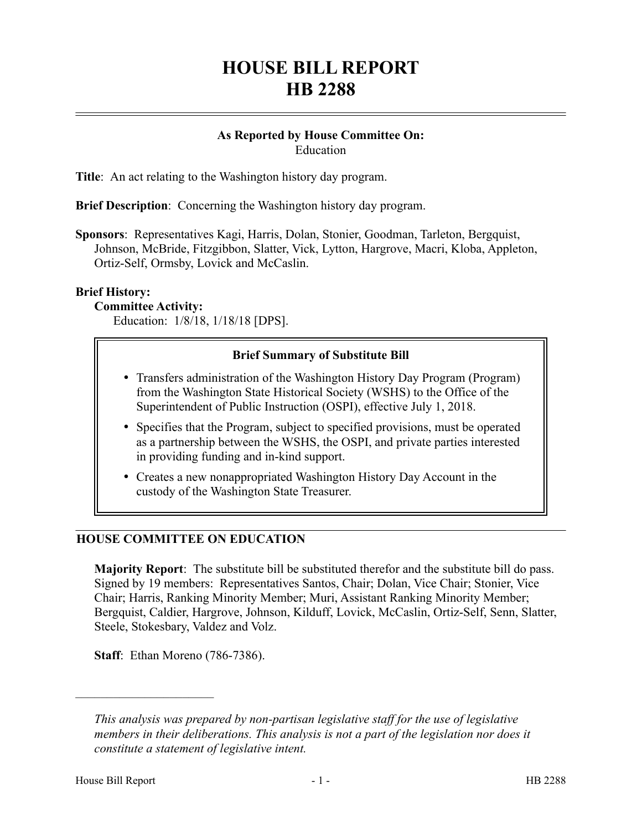# **HOUSE BILL REPORT HB 2288**

#### **As Reported by House Committee On:** Education

**Title**: An act relating to the Washington history day program.

**Brief Description**: Concerning the Washington history day program.

**Sponsors**: Representatives Kagi, Harris, Dolan, Stonier, Goodman, Tarleton, Bergquist, Johnson, McBride, Fitzgibbon, Slatter, Vick, Lytton, Hargrove, Macri, Kloba, Appleton, Ortiz-Self, Ormsby, Lovick and McCaslin.

## **Brief History:**

#### **Committee Activity:**

Education: 1/8/18, 1/18/18 [DPS].

## **Brief Summary of Substitute Bill**

- Transfers administration of the Washington History Day Program (Program) from the Washington State Historical Society (WSHS) to the Office of the Superintendent of Public Instruction (OSPI), effective July 1, 2018.
- Specifies that the Program, subject to specified provisions, must be operated as a partnership between the WSHS, the OSPI, and private parties interested in providing funding and in-kind support.
- Creates a new nonappropriated Washington History Day Account in the custody of the Washington State Treasurer.

## **HOUSE COMMITTEE ON EDUCATION**

**Majority Report**: The substitute bill be substituted therefor and the substitute bill do pass. Signed by 19 members: Representatives Santos, Chair; Dolan, Vice Chair; Stonier, Vice Chair; Harris, Ranking Minority Member; Muri, Assistant Ranking Minority Member; Bergquist, Caldier, Hargrove, Johnson, Kilduff, Lovick, McCaslin, Ortiz-Self, Senn, Slatter, Steele, Stokesbary, Valdez and Volz.

**Staff**: Ethan Moreno (786-7386).

––––––––––––––––––––––

*This analysis was prepared by non-partisan legislative staff for the use of legislative members in their deliberations. This analysis is not a part of the legislation nor does it constitute a statement of legislative intent.*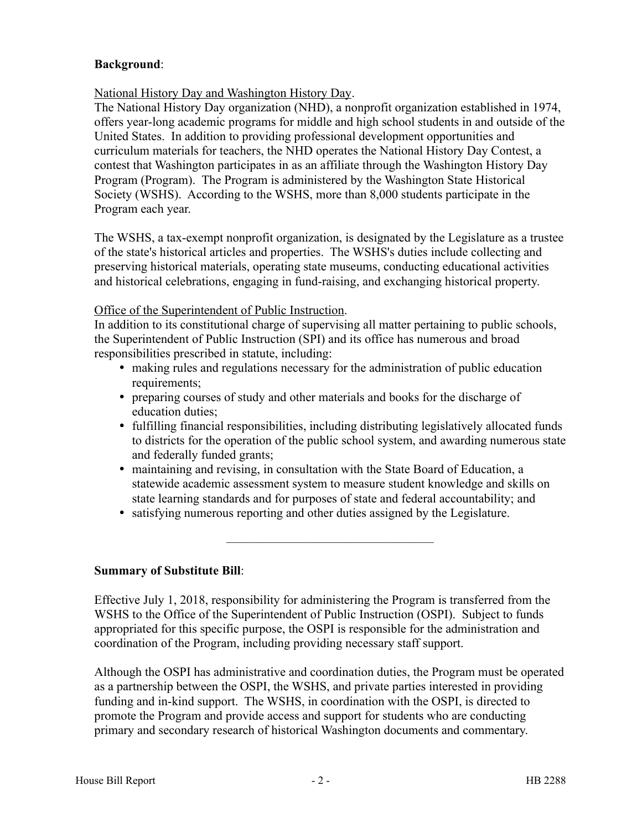## **Background**:

## National History Day and Washington History Day.

The National History Day organization (NHD), a nonprofit organization established in 1974, offers year-long academic programs for middle and high school students in and outside of the United States. In addition to providing professional development opportunities and curriculum materials for teachers, the NHD operates the National History Day Contest, a contest that Washington participates in as an affiliate through the Washington History Day Program (Program). The Program is administered by the Washington State Historical Society (WSHS). According to the WSHS, more than 8,000 students participate in the Program each year.

The WSHS, a tax-exempt nonprofit organization, is designated by the Legislature as a trustee of the state's historical articles and properties. The WSHS's duties include collecting and preserving historical materials, operating state museums, conducting educational activities and historical celebrations, engaging in fund-raising, and exchanging historical property.

## Office of the Superintendent of Public Instruction.

In addition to its constitutional charge of supervising all matter pertaining to public schools, the Superintendent of Public Instruction (SPI) and its office has numerous and broad responsibilities prescribed in statute, including:

- making rules and regulations necessary for the administration of public education requirements;
- preparing courses of study and other materials and books for the discharge of education duties;
- fulfilling financial responsibilities, including distributing legislatively allocated funds to districts for the operation of the public school system, and awarding numerous state and federally funded grants;
- maintaining and revising, in consultation with the State Board of Education, a statewide academic assessment system to measure student knowledge and skills on state learning standards and for purposes of state and federal accountability; and

–––––––––––––––––––––––––––––––––

satisfying numerous reporting and other duties assigned by the Legislature.

## **Summary of Substitute Bill**:

Effective July 1, 2018, responsibility for administering the Program is transferred from the WSHS to the Office of the Superintendent of Public Instruction (OSPI). Subject to funds appropriated for this specific purpose, the OSPI is responsible for the administration and coordination of the Program, including providing necessary staff support.

Although the OSPI has administrative and coordination duties, the Program must be operated as a partnership between the OSPI, the WSHS, and private parties interested in providing funding and in-kind support. The WSHS, in coordination with the OSPI, is directed to promote the Program and provide access and support for students who are conducting primary and secondary research of historical Washington documents and commentary.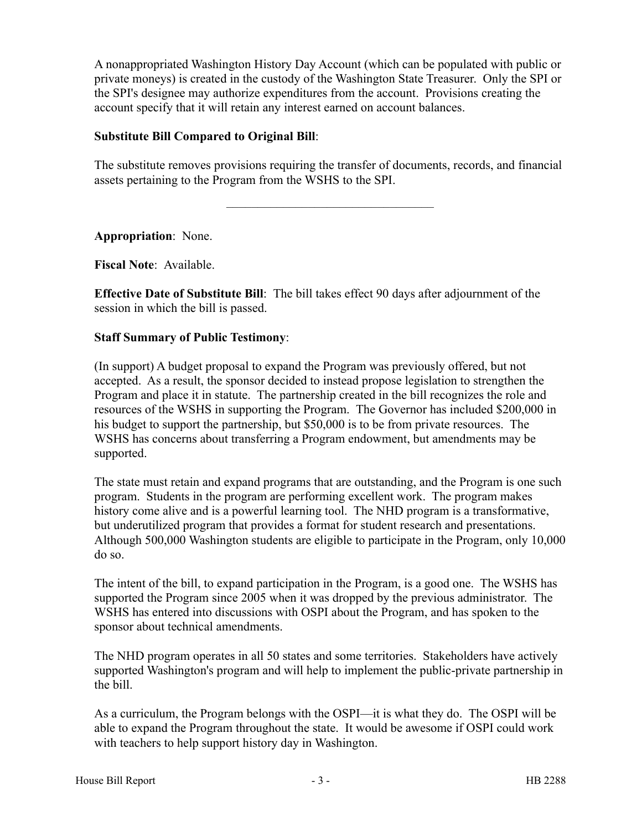A nonappropriated Washington History Day Account (which can be populated with public or private moneys) is created in the custody of the Washington State Treasurer. Only the SPI or the SPI's designee may authorize expenditures from the account. Provisions creating the account specify that it will retain any interest earned on account balances.

#### **Substitute Bill Compared to Original Bill**:

The substitute removes provisions requiring the transfer of documents, records, and financial assets pertaining to the Program from the WSHS to the SPI.

–––––––––––––––––––––––––––––––––

**Appropriation**: None.

**Fiscal Note**: Available.

**Effective Date of Substitute Bill**: The bill takes effect 90 days after adjournment of the session in which the bill is passed.

#### **Staff Summary of Public Testimony**:

(In support) A budget proposal to expand the Program was previously offered, but not accepted. As a result, the sponsor decided to instead propose legislation to strengthen the Program and place it in statute. The partnership created in the bill recognizes the role and resources of the WSHS in supporting the Program. The Governor has included \$200,000 in his budget to support the partnership, but \$50,000 is to be from private resources. The WSHS has concerns about transferring a Program endowment, but amendments may be supported.

The state must retain and expand programs that are outstanding, and the Program is one such program. Students in the program are performing excellent work. The program makes history come alive and is a powerful learning tool. The NHD program is a transformative, but underutilized program that provides a format for student research and presentations. Although 500,000 Washington students are eligible to participate in the Program, only 10,000 do so.

The intent of the bill, to expand participation in the Program, is a good one. The WSHS has supported the Program since 2005 when it was dropped by the previous administrator. The WSHS has entered into discussions with OSPI about the Program, and has spoken to the sponsor about technical amendments.

The NHD program operates in all 50 states and some territories. Stakeholders have actively supported Washington's program and will help to implement the public-private partnership in the bill.

As a curriculum, the Program belongs with the OSPI—it is what they do. The OSPI will be able to expand the Program throughout the state. It would be awesome if OSPI could work with teachers to help support history day in Washington.